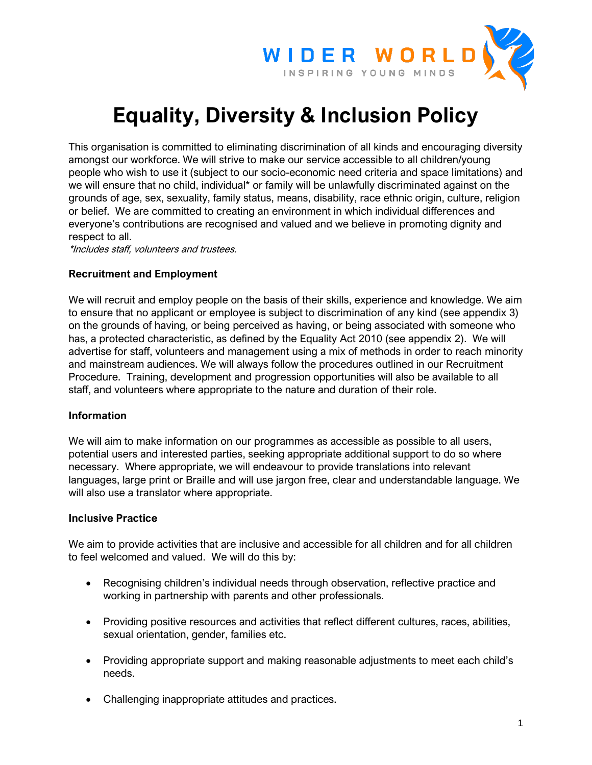

# **Equality, Diversity & Inclusion Policy**

This organisation is committed to eliminating discrimination of all kinds and encouraging diversity amongst our workforce. We will strive to make our service accessible to all children/young people who wish to use it (subject to our socio-economic need criteria and space limitations) and we will ensure that no child, individual\* or family will be unlawfully discriminated against on the grounds of age, sex, sexuality, family status, means, disability, race ethnic origin, culture, religion or belief. We are committed to creating an environment in which individual differences and everyone's contributions are recognised and valued and we believe in promoting dignity and respect to all.

\*Includes staff, volunteers and trustees.

## **Recruitment and Employment**

We will recruit and employ people on the basis of their skills, experience and knowledge. We aim to ensure that no applicant or employee is subject to discrimination of any kind (see appendix 3) on the grounds of having, or being perceived as having, or being associated with someone who has, a protected characteristic, as defined by the Equality Act 2010 (see appendix 2). We will advertise for staff, volunteers and management using a mix of methods in order to reach minority and mainstream audiences. We will always follow the procedures outlined in our Recruitment Procedure. Training, development and progression opportunities will also be available to all staff, and volunteers where appropriate to the nature and duration of their role.

## **Information**

We will aim to make information on our programmes as accessible as possible to all users, potential users and interested parties, seeking appropriate additional support to do so where necessary. Where appropriate, we will endeavour to provide translations into relevant languages, large print or Braille and will use jargon free, clear and understandable language. We will also use a translator where appropriate.

## **Inclusive Practice**

We aim to provide activities that are inclusive and accessible for all children and for all children to feel welcomed and valued. We will do this by:

- Recognising children's individual needs through observation, reflective practice and working in partnership with parents and other professionals.
- Providing positive resources and activities that reflect different cultures, races, abilities, sexual orientation, gender, families etc.
- Providing appropriate support and making reasonable adjustments to meet each child's needs.
- Challenging inappropriate attitudes and practices.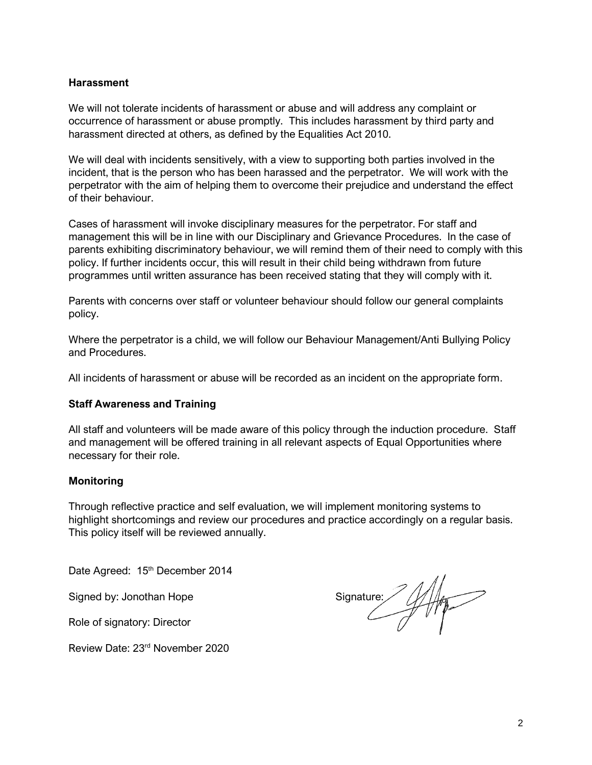## **Harassment**

We will not tolerate incidents of harassment or abuse and will address any complaint or occurrence of harassment or abuse promptly. This includes harassment by third party and harassment directed at others, as defined by the Equalities Act 2010.

We will deal with incidents sensitively, with a view to supporting both parties involved in the incident, that is the person who has been harassed and the perpetrator. We will work with the perpetrator with the aim of helping them to overcome their prejudice and understand the effect of their behaviour.

Cases of harassment will invoke disciplinary measures for the perpetrator. For staff and management this will be in line with our Disciplinary and Grievance Procedures. In the case of parents exhibiting discriminatory behaviour, we will remind them of their need to comply with this policy. If further incidents occur, this will result in their child being withdrawn from future programmes until written assurance has been received stating that they will comply with it.

Parents with concerns over staff or volunteer behaviour should follow our general complaints policy.

Where the perpetrator is a child, we will follow our Behaviour Management/Anti Bullying Policy and Procedures.

All incidents of harassment or abuse will be recorded as an incident on the appropriate form.

#### **Staff Awareness and Training**

All staff and volunteers will be made aware of this policy through the induction procedure. Staff and management will be offered training in all relevant aspects of Equal Opportunities where necessary for their role.

#### **Monitoring**

Through reflective practice and self evaluation, we will implement monitoring systems to highlight shortcomings and review our procedures and practice accordingly on a regular basis. This policy itself will be reviewed annually.

Date Agreed: 15<sup>th</sup> December 2014

Role of signatory: Director

Review Date: 23rd November 2020

Signed by: Jonothan Hope Signature: Allen Signature: Allen Signature: Allen Signature: Allen Signature: Allen Signature: Allen Signature: Allen Signature: Allen Signature: Allen Signature: Allen Signature: Allen Signature: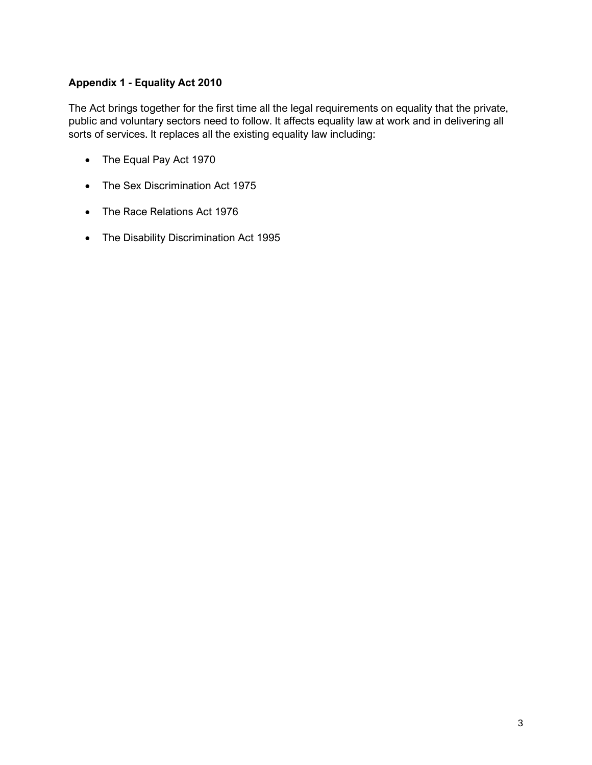## **Appendix 1 - Equality Act 2010**

The Act brings together for the first time all the legal requirements on equality that the private, public and voluntary sectors need to follow. It affects equality law at work and in delivering all sorts of services. It replaces all the existing equality law including:

- The Equal Pay Act 1970
- The Sex Discrimination Act 1975
- The Race Relations Act 1976
- The Disability Discrimination Act 1995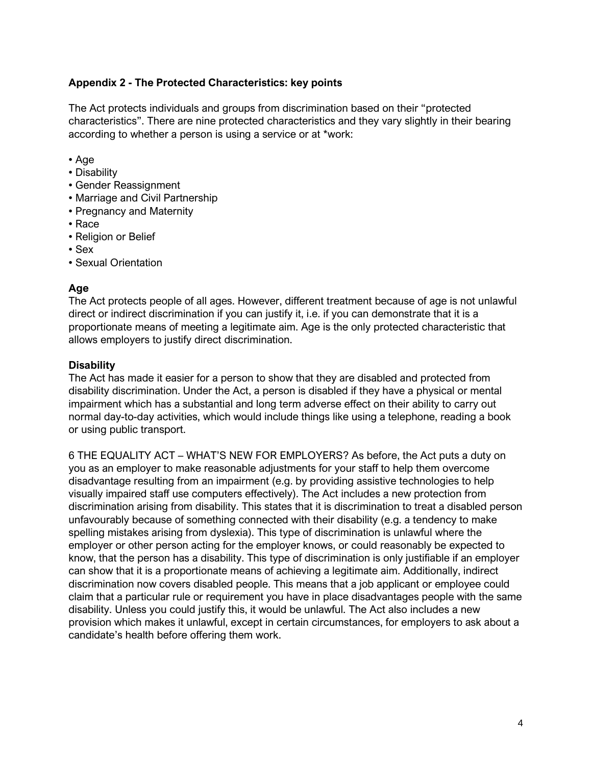## **Appendix 2 - The Protected Characteristics: key points**

The Act protects individuals and groups from discrimination based on their "protected characteristics". There are nine protected characteristics and they vary slightly in their bearing according to whether a person is using a service or at \*work:

- Age
- Disability
- Gender Reassignment
- Marriage and Civil Partnership
- Pregnancy and Maternity
- Race
- Religion or Belief
- Sex
- Sexual Orientation

## **Age**

The Act protects people of all ages. However, different treatment because of age is not unlawful direct or indirect discrimination if you can justify it, i.e. if you can demonstrate that it is a proportionate means of meeting a legitimate aim. Age is the only protected characteristic that allows employers to justify direct discrimination.

## **Disability**

The Act has made it easier for a person to show that they are disabled and protected from disability discrimination. Under the Act, a person is disabled if they have a physical or mental impairment which has a substantial and long term adverse effect on their ability to carry out normal day-to-day activities, which would include things like using a telephone, reading a book or using public transport.

6 THE EQUALITY ACT – WHAT'S NEW FOR EMPLOYERS? As before, the Act puts a duty on you as an employer to make reasonable adjustments for your staff to help them overcome disadvantage resulting from an impairment (e.g. by providing assistive technologies to help visually impaired staff use computers effectively). The Act includes a new protection from discrimination arising from disability. This states that it is discrimination to treat a disabled person unfavourably because of something connected with their disability (e.g. a tendency to make spelling mistakes arising from dyslexia). This type of discrimination is unlawful where the employer or other person acting for the employer knows, or could reasonably be expected to know, that the person has a disability. This type of discrimination is only justifiable if an employer can show that it is a proportionate means of achieving a legitimate aim. Additionally, indirect discrimination now covers disabled people. This means that a job applicant or employee could claim that a particular rule or requirement you have in place disadvantages people with the same disability. Unless you could justify this, it would be unlawful. The Act also includes a new provision which makes it unlawful, except in certain circumstances, for employers to ask about a candidate's health before offering them work.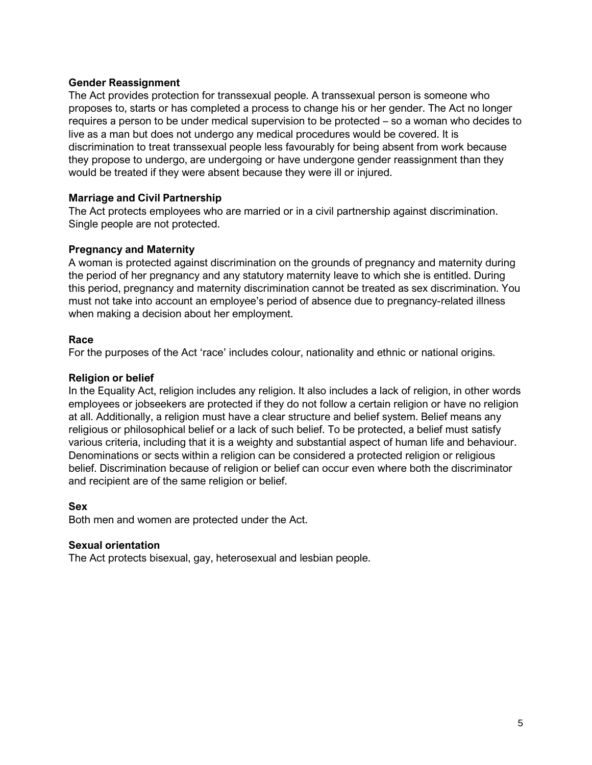## **Gender Reassignment**

The Act provides protection for transsexual people. A transsexual person is someone who proposes to, starts or has completed a process to change his or her gender. The Act no longer requires a person to be under medical supervision to be protected – so a woman who decides to live as a man but does not undergo any medical procedures would be covered. It is discrimination to treat transsexual people less favourably for being absent from work because they propose to undergo, are undergoing or have undergone gender reassignment than they would be treated if they were absent because they were ill or injured.

## **Marriage and Civil Partnership**

The Act protects employees who are married or in a civil partnership against discrimination. Single people are not protected.

## **Pregnancy and Maternity**

A woman is protected against discrimination on the grounds of pregnancy and maternity during the period of her pregnancy and any statutory maternity leave to which she is entitled. During this period, pregnancy and maternity discrimination cannot be treated as sex discrimination. You must not take into account an employee's period of absence due to pregnancy-related illness when making a decision about her employment.

## **Race**

For the purposes of the Act 'race' includes colour, nationality and ethnic or national origins.

## **Religion or belief**

In the Equality Act, religion includes any religion. It also includes a lack of religion, in other words employees or jobseekers are protected if they do not follow a certain religion or have no religion at all. Additionally, a religion must have a clear structure and belief system. Belief means any religious or philosophical belief or a lack of such belief. To be protected, a belief must satisfy various criteria, including that it is a weighty and substantial aspect of human life and behaviour. Denominations or sects within a religion can be considered a protected religion or religious belief. Discrimination because of religion or belief can occur even where both the discriminator and recipient are of the same religion or belief.

## **Sex**

Both men and women are protected under the Act.

## **Sexual orientation**

The Act protects bisexual, gay, heterosexual and lesbian people.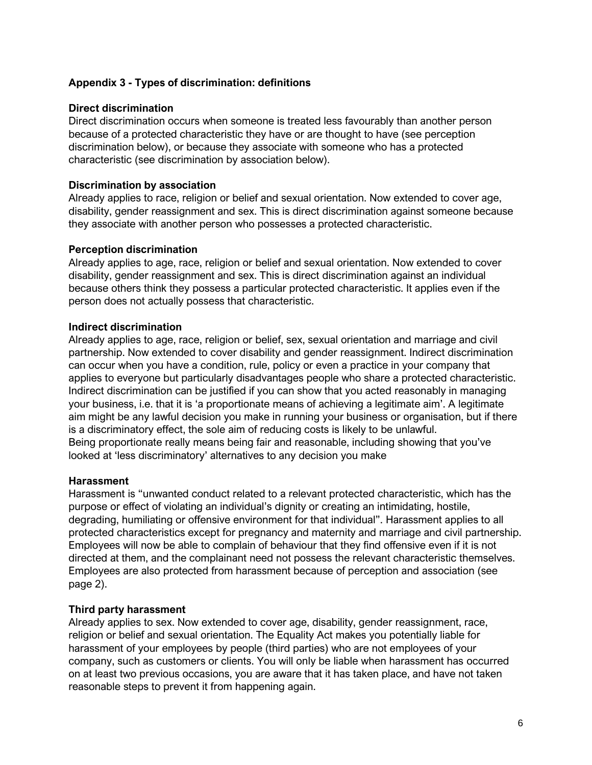## **Appendix 3 - Types of discrimination: definitions**

## **Direct discrimination**

Direct discrimination occurs when someone is treated less favourably than another person because of a protected characteristic they have or are thought to have (see perception discrimination below), or because they associate with someone who has a protected characteristic (see discrimination by association below).

## **Discrimination by association**

Already applies to race, religion or belief and sexual orientation. Now extended to cover age, disability, gender reassignment and sex. This is direct discrimination against someone because they associate with another person who possesses a protected characteristic.

#### **Perception discrimination**

Already applies to age, race, religion or belief and sexual orientation. Now extended to cover disability, gender reassignment and sex. This is direct discrimination against an individual because others think they possess a particular protected characteristic. It applies even if the person does not actually possess that characteristic.

#### **Indirect discrimination**

Already applies to age, race, religion or belief, sex, sexual orientation and marriage and civil partnership. Now extended to cover disability and gender reassignment. Indirect discrimination can occur when you have a condition, rule, policy or even a practice in your company that applies to everyone but particularly disadvantages people who share a protected characteristic. Indirect discrimination can be justified if you can show that you acted reasonably in managing your business, i.e. that it is 'a proportionate means of achieving a legitimate aim'. A legitimate aim might be any lawful decision you make in running your business or organisation, but if there is a discriminatory effect, the sole aim of reducing costs is likely to be unlawful. Being proportionate really means being fair and reasonable, including showing that you've looked at 'less discriminatory' alternatives to any decision you make

#### **Harassment**

Harassment is "unwanted conduct related to a relevant protected characteristic, which has the purpose or effect of violating an individual's dignity or creating an intimidating, hostile, degrading, humiliating or offensive environment for that individual". Harassment applies to all protected characteristics except for pregnancy and maternity and marriage and civil partnership. Employees will now be able to complain of behaviour that they find offensive even if it is not directed at them, and the complainant need not possess the relevant characteristic themselves. Employees are also protected from harassment because of perception and association (see page 2).

#### **Third party harassment**

Already applies to sex. Now extended to cover age, disability, gender reassignment, race, religion or belief and sexual orientation. The Equality Act makes you potentially liable for harassment of your employees by people (third parties) who are not employees of your company, such as customers or clients. You will only be liable when harassment has occurred on at least two previous occasions, you are aware that it has taken place, and have not taken reasonable steps to prevent it from happening again.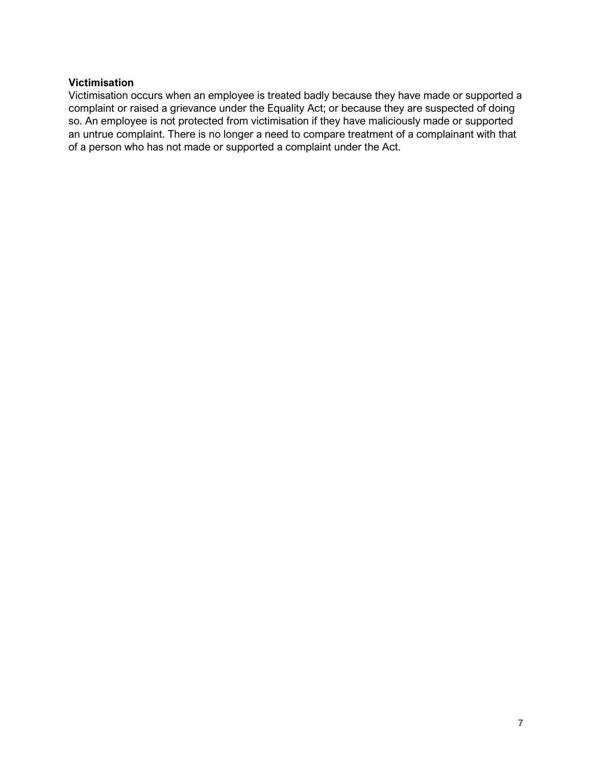## **Victimisation**

Victimisation occurs when an employee is treated badly because they have made or supported a complaint or raised a grievance under the Equality Act; or because they are suspected of doing so. An employee is not protected from victimisation if they have maliciously made or supported an untrue complaint. There is no longer a need to compare treatment of a complainant with that of a person who has not made or supported a complaint under the Act.